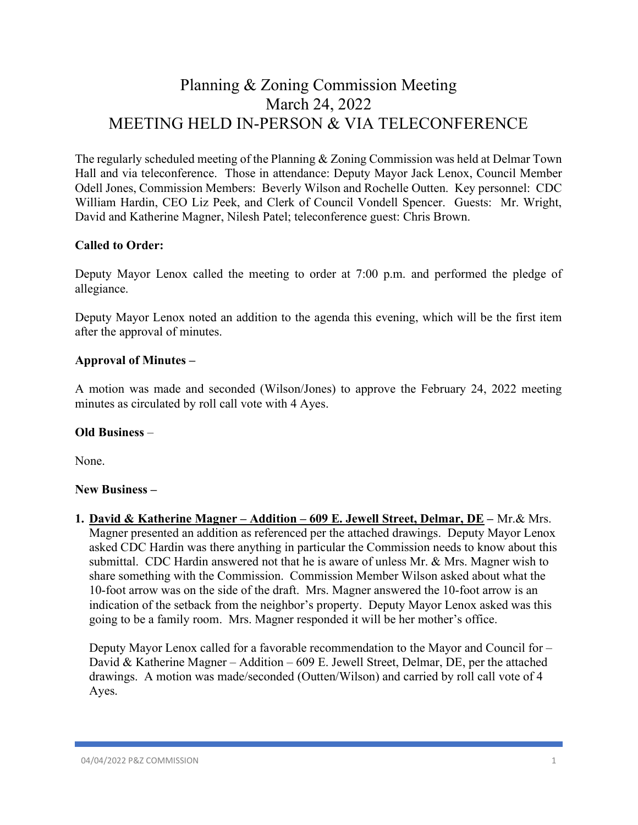# Planning & Zoning Commission Meeting March 24, 2022 MEETING HELD IN-PERSON & VIA TELECONFERENCE

The regularly scheduled meeting of the Planning & Zoning Commission was held at Delmar Town Hall and via teleconference. Those in attendance: Deputy Mayor Jack Lenox, Council Member Odell Jones, Commission Members: Beverly Wilson and Rochelle Outten. Key personnel: CDC William Hardin, CEO Liz Peek, and Clerk of Council Vondell Spencer. Guests: Mr. Wright, David and Katherine Magner, Nilesh Patel; teleconference guest: Chris Brown.

# Called to Order:

Deputy Mayor Lenox called the meeting to order at 7:00 p.m. and performed the pledge of allegiance.

Deputy Mayor Lenox noted an addition to the agenda this evening, which will be the first item after the approval of minutes.

# Approval of Minutes –

A motion was made and seconded (Wilson/Jones) to approve the February 24, 2022 meeting minutes as circulated by roll call vote with 4 Ayes.

#### Old Business –

None.

#### New Business –

1. David & Katherine Magner – Addition – 609 E. Jewell Street, Delmar, DE – Mr.& Mrs. Magner presented an addition as referenced per the attached drawings. Deputy Mayor Lenox asked CDC Hardin was there anything in particular the Commission needs to know about this submittal. CDC Hardin answered not that he is aware of unless Mr. & Mrs. Magner wish to share something with the Commission. Commission Member Wilson asked about what the 10-foot arrow was on the side of the draft. Mrs. Magner answered the 10-foot arrow is an indication of the setback from the neighbor's property. Deputy Mayor Lenox asked was this going to be a family room. Mrs. Magner responded it will be her mother's office.

Deputy Mayor Lenox called for a favorable recommendation to the Mayor and Council for – David & Katherine Magner – Addition – 609 E. Jewell Street, Delmar, DE, per the attached drawings. A motion was made/seconded (Outten/Wilson) and carried by roll call vote of 4 Ayes.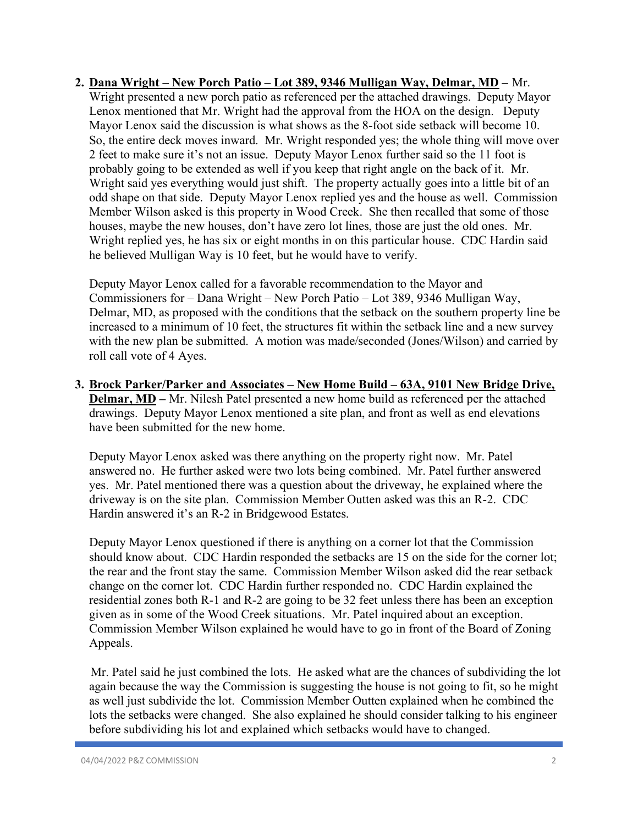# 2. Dana Wright – New Porch Patio – Lot 389, 9346 Mulligan Way, Delmar, MD – Mr. Wright presented a new porch patio as referenced per the attached drawings. Deputy Mayor Lenox mentioned that Mr. Wright had the approval from the HOA on the design. Deputy Mayor Lenox said the discussion is what shows as the 8-foot side setback will become 10. So, the entire deck moves inward. Mr. Wright responded yes; the whole thing will move over 2 feet to make sure it's not an issue. Deputy Mayor Lenox further said so the 11 foot is probably going to be extended as well if you keep that right angle on the back of it. Mr. Wright said yes everything would just shift. The property actually goes into a little bit of an odd shape on that side. Deputy Mayor Lenox replied yes and the house as well. Commission Member Wilson asked is this property in Wood Creek. She then recalled that some of those houses, maybe the new houses, don't have zero lot lines, those are just the old ones. Mr. Wright replied yes, he has six or eight months in on this particular house. CDC Hardin said he believed Mulligan Way is 10 feet, but he would have to verify.

Deputy Mayor Lenox called for a favorable recommendation to the Mayor and Commissioners for – Dana Wright – New Porch Patio – Lot 389, 9346 Mulligan Way, Delmar, MD, as proposed with the conditions that the setback on the southern property line be increased to a minimum of 10 feet, the structures fit within the setback line and a new survey with the new plan be submitted. A motion was made/seconded (Jones/Wilson) and carried by roll call vote of 4 Ayes.

3. Brock Parker/Parker and Associates – New Home Build – 63A, 9101 New Bridge Drive, Delmar, MD – Mr. Nilesh Patel presented a new home build as referenced per the attached drawings. Deputy Mayor Lenox mentioned a site plan, and front as well as end elevations have been submitted for the new home.

Deputy Mayor Lenox asked was there anything on the property right now. Mr. Patel answered no. He further asked were two lots being combined. Mr. Patel further answered yes. Mr. Patel mentioned there was a question about the driveway, he explained where the driveway is on the site plan. Commission Member Outten asked was this an R-2. CDC Hardin answered it's an R-2 in Bridgewood Estates.

Deputy Mayor Lenox questioned if there is anything on a corner lot that the Commission should know about. CDC Hardin responded the setbacks are 15 on the side for the corner lot; the rear and the front stay the same. Commission Member Wilson asked did the rear setback change on the corner lot. CDC Hardin further responded no. CDC Hardin explained the residential zones both R-1 and R-2 are going to be 32 feet unless there has been an exception given as in some of the Wood Creek situations. Mr. Patel inquired about an exception. Commission Member Wilson explained he would have to go in front of the Board of Zoning Appeals.

 Mr. Patel said he just combined the lots. He asked what are the chances of subdividing the lot again because the way the Commission is suggesting the house is not going to fit, so he might as well just subdivide the lot. Commission Member Outten explained when he combined the lots the setbacks were changed. She also explained he should consider talking to his engineer before subdividing his lot and explained which setbacks would have to changed.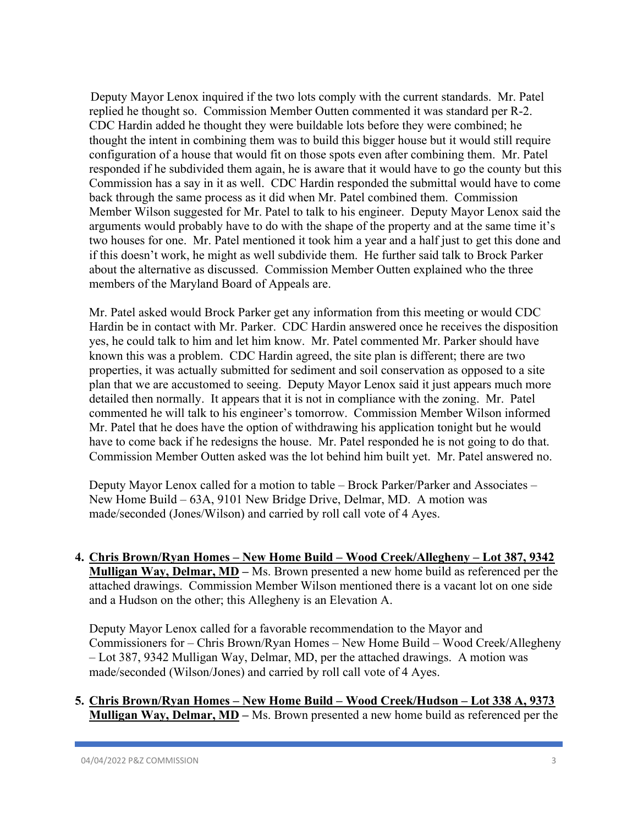Deputy Mayor Lenox inquired if the two lots comply with the current standards. Mr. Patel replied he thought so. Commission Member Outten commented it was standard per R-2. CDC Hardin added he thought they were buildable lots before they were combined; he thought the intent in combining them was to build this bigger house but it would still require configuration of a house that would fit on those spots even after combining them. Mr. Patel responded if he subdivided them again, he is aware that it would have to go the county but this Commission has a say in it as well. CDC Hardin responded the submittal would have to come back through the same process as it did when Mr. Patel combined them. Commission Member Wilson suggested for Mr. Patel to talk to his engineer. Deputy Mayor Lenox said the arguments would probably have to do with the shape of the property and at the same time it's two houses for one. Mr. Patel mentioned it took him a year and a half just to get this done and if this doesn't work, he might as well subdivide them. He further said talk to Brock Parker about the alternative as discussed. Commission Member Outten explained who the three members of the Maryland Board of Appeals are.

 Mr. Patel asked would Brock Parker get any information from this meeting or would CDC Hardin be in contact with Mr. Parker. CDC Hardin answered once he receives the disposition yes, he could talk to him and let him know. Mr. Patel commented Mr. Parker should have known this was a problem. CDC Hardin agreed, the site plan is different; there are two properties, it was actually submitted for sediment and soil conservation as opposed to a site plan that we are accustomed to seeing. Deputy Mayor Lenox said it just appears much more detailed then normally. It appears that it is not in compliance with the zoning. Mr. Patel commented he will talk to his engineer's tomorrow. Commission Member Wilson informed Mr. Patel that he does have the option of withdrawing his application tonight but he would have to come back if he redesigns the house. Mr. Patel responded he is not going to do that. Commission Member Outten asked was the lot behind him built yet. Mr. Patel answered no.

 Deputy Mayor Lenox called for a motion to table – Brock Parker/Parker and Associates – New Home Build – 63A, 9101 New Bridge Drive, Delmar, MD. A motion was made/seconded (Jones/Wilson) and carried by roll call vote of 4 Ayes.

4. Chris Brown/Ryan Homes – New Home Build – Wood Creek/Allegheny – Lot 387, 9342 Mulligan Way, Delmar, MD – Ms. Brown presented a new home build as referenced per the attached drawings. Commission Member Wilson mentioned there is a vacant lot on one side and a Hudson on the other; this Allegheny is an Elevation A.

Deputy Mayor Lenox called for a favorable recommendation to the Mayor and Commissioners for – Chris Brown/Ryan Homes – New Home Build – Wood Creek/Allegheny – Lot 387, 9342 Mulligan Way, Delmar, MD, per the attached drawings. A motion was made/seconded (Wilson/Jones) and carried by roll call vote of 4 Ayes.

5. Chris Brown/Ryan Homes – New Home Build – Wood Creek/Hudson – Lot 338 A, 9373 Mulligan Way, Delmar, MD – Ms. Brown presented a new home build as referenced per the